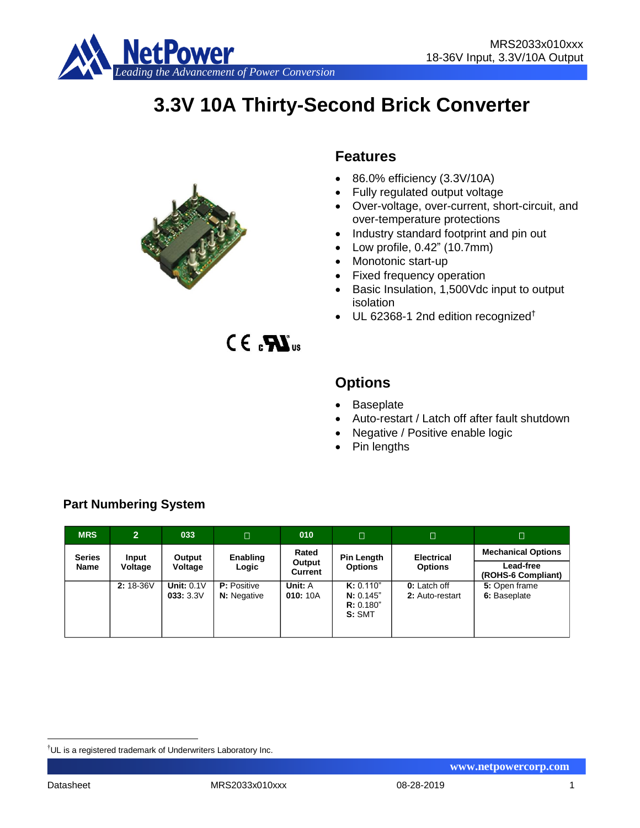

# **3.3V 10A Thirty-Second Brick Converter**



# **Features**

- 86.0% efficiency (3.3V/10A)
- Fully regulated output voltage
- Over-voltage, over-current, short-circuit, and over-temperature protections
- Industry standard footprint and pin out
- Low profile, 0.42" (10.7mm)
- Monotonic start-up
- Fixed frequency operation
- Basic Insulation, 1,500Vdc input to output isolation
- $\bullet$  UL 62368-1 2nd edition recognized<sup>†</sup>

 $CE. 33$ 

# **Options**

- Baseplate
- Auto-restart / Latch off after fault shutdown
- Negative / Positive enable logic
- Pin lengths

| <b>MRS</b>    | $\overline{2}$ | 033                      | $\Box$                                   | 010                 | $\Box$                                        | $\Box$                          | $\Box$                                 |
|---------------|----------------|--------------------------|------------------------------------------|---------------------|-----------------------------------------------|---------------------------------|----------------------------------------|
| <b>Series</b> | Input          | Output<br>Voltage        | Enabling                                 | Rated               | Pin Length                                    | <b>Electrical</b>               | <b>Mechanical Options</b>              |
| Name          | Voltage        |                          | Logic                                    | Output<br>Current   | <b>Options</b>                                | <b>Options</b>                  | <b>Lead-free</b><br>(ROHS-6 Compliant) |
|               | 2: 18-36V      | Unit: $0.1V$<br>033:3.3V | <b>P:</b> Positive<br><b>N:</b> Negative | Unit: A<br>010: 10A | K: 0.110"<br>N: 0.145"<br>R: 0.180"<br>S: SMT | 0: Latch off<br>2: Auto-restart | 5: Open frame<br>6: Baseplate          |

# **Part Numbering System**

<u>.</u>

<sup>&</sup>lt;sup>†</sup>UL is a registered trademark of Underwriters Laboratory Inc.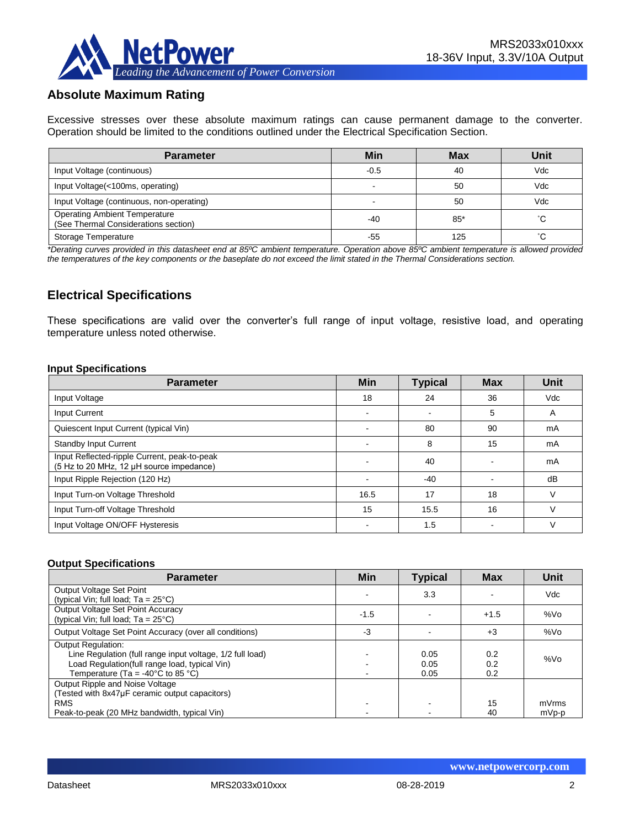

# **Absolute Maximum Rating**

Excessive stresses over these absolute maximum ratings can cause permanent damage to the converter. Operation should be limited to the conditions outlined under the Electrical Specification Section.

| <b>Parameter</b>                                                             | Min                      | <b>Max</b> | Unit |
|------------------------------------------------------------------------------|--------------------------|------------|------|
| Input Voltage (continuous)                                                   | $-0.5$                   | 40         | Vdc  |
| Input Voltage(<100ms, operating)                                             | $\overline{\phantom{0}}$ | 50         | Vdc  |
| Input Voltage (continuous, non-operating)                                    |                          | 50         | Vdc  |
| <b>Operating Ambient Temperature</b><br>(See Thermal Considerations section) | -40                      | $85*$      | °С   |
| Storage Temperature                                                          | -55                      | 125        | ົ∩   |

*\*Derating curves provided in this datasheet end at 85ºC ambient temperature. Operation above 85ºC ambient temperature is allowed provided the temperatures of the key components or the baseplate do not exceed the limit stated in the Thermal Considerations section.*

## **Electrical Specifications**

These specifications are valid over the converter's full range of input voltage, resistive load, and operating temperature unless noted otherwise.

#### **Input Specifications**

| <b>Parameter</b>                                                                         | <b>Min</b> | <b>Typical</b>           | <b>Max</b> | Unit   |
|------------------------------------------------------------------------------------------|------------|--------------------------|------------|--------|
| Input Voltage                                                                            | 18         | 24                       | 36         | Vdc    |
| Input Current                                                                            | <b>.</b>   | $\overline{\phantom{0}}$ | 5          | A      |
| Quiescent Input Current (typical Vin)                                                    |            | 80                       | 90         | mA     |
| <b>Standby Input Current</b>                                                             | -          | 8                        | 15         | mA     |
| Input Reflected-ripple Current, peak-to-peak<br>(5 Hz to 20 MHz, 12 µH source impedance) |            | 40                       |            | mA     |
| Input Ripple Rejection (120 Hz)                                                          |            | $-40$                    |            | dB     |
| Input Turn-on Voltage Threshold                                                          | 16.5       | 17                       | 18         | $\vee$ |
| Input Turn-off Voltage Threshold                                                         | 15         | 15.5                     | 16         |        |
| Input Voltage ON/OFF Hysteresis                                                          |            | 1.5                      |            | V      |

#### **Output Specifications**

| <b>Parameter</b>                                                                                                                                                                                  | <b>Min</b> | <b>Typical</b>       | <b>Max</b>        | Unit            |
|---------------------------------------------------------------------------------------------------------------------------------------------------------------------------------------------------|------------|----------------------|-------------------|-----------------|
| Output Voltage Set Point<br>(typical Vin; full load; $Ta = 25^{\circ}C$ )                                                                                                                         |            | 3.3                  |                   | Vdc             |
| <b>Output Voltage Set Point Accuracy</b><br>(typical Vin; full load; $Ta = 25^{\circ}C$ )                                                                                                         | $-1.5$     |                      | $+1.5$            | %V <sub>O</sub> |
| Output Voltage Set Point Accuracy (over all conditions)                                                                                                                                           | -3         |                      | $+3$              | %Vo             |
| <b>Output Regulation:</b><br>Line Regulation (full range input voltage, 1/2 full load)<br>Load Regulation(full range load, typical Vin)<br>Temperature (Ta = -40 $^{\circ}$ C to 85 $^{\circ}$ C) |            | 0.05<br>0.05<br>0.05 | 0.2<br>0.2<br>0.2 | %Vo             |
| Output Ripple and Noise Voltage<br>(Tested with 8x47µF ceramic output capacitors)<br><b>RMS</b><br>Peak-to-peak (20 MHz bandwidth, typical Vin)                                                   |            |                      | 15<br>40          | mVrms<br>mVp-p  |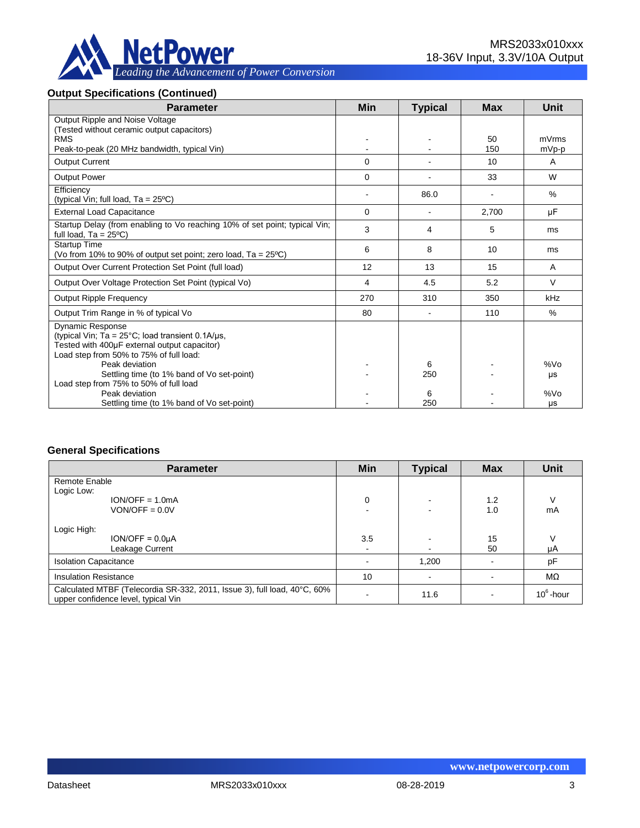

#### **Output Specifications (Continued)**

| <b>Parameter</b>                                                                                                                                                                       | <b>Min</b> | <b>Typical</b> | <b>Max</b> | <b>Unit</b>    |
|----------------------------------------------------------------------------------------------------------------------------------------------------------------------------------------|------------|----------------|------------|----------------|
| Output Ripple and Noise Voltage                                                                                                                                                        |            |                |            |                |
| (Tested without ceramic output capacitors)                                                                                                                                             |            |                |            |                |
| <b>RMS</b><br>Peak-to-peak (20 MHz bandwidth, typical Vin)                                                                                                                             |            |                | 50<br>150  | mVrms<br>mVp-p |
|                                                                                                                                                                                        |            |                |            |                |
| <b>Output Current</b>                                                                                                                                                                  | 0          |                | 10         | $\mathsf{A}$   |
| <b>Output Power</b>                                                                                                                                                                    | $\Omega$   |                | 33         | W              |
| Efficiency                                                                                                                                                                             |            | 86.0           |            | $\%$           |
| (typical Vin; full load, $Ta = 25^{\circ}C$ )                                                                                                                                          |            |                |            |                |
| <b>External Load Capacitance</b>                                                                                                                                                       | $\Omega$   |                | 2,700      | μF             |
| Startup Delay (from enabling to Vo reaching 10% of set point; typical Vin;<br>full load, $Ta = 25^{\circ}C$                                                                            | 3          | 4              | 5          | ms             |
| <b>Startup Time</b><br>(Vo from 10% to 90% of output set point; zero load, $Ta = 25^{\circ}C$ )                                                                                        | 6          | 8              | 10         | ms             |
| Output Over Current Protection Set Point (full load)                                                                                                                                   | 12         | 13             | 15         | A              |
| Output Over Voltage Protection Set Point (typical Vo)                                                                                                                                  | 4          | 4.5            | 5.2        | $\vee$         |
| <b>Output Ripple Frequency</b>                                                                                                                                                         | 270        | 310            | 350        | kHz            |
| Output Trim Range in % of typical Vo                                                                                                                                                   | 80         |                | 110        | %              |
| <b>Dynamic Response</b><br>(typical Vin; Ta = $25^{\circ}$ C; load transient 0.1A/ $\mu$ s,<br>Tested with 400µF external output capacitor)<br>Load step from 50% to 75% of full load: |            |                |            |                |
| Peak deviation                                                                                                                                                                         |            | 6              |            | %Vo            |
| Settling time (to 1% band of Vo set-point)                                                                                                                                             |            | 250            |            | μs             |
| Load step from 75% to 50% of full load                                                                                                                                                 |            |                |            |                |
| Peak deviation                                                                                                                                                                         |            | 6              |            | %Vo            |
| Settling time (to 1% band of Vo set-point)                                                                                                                                             |            | 250            |            | μs             |

#### **General Specifications**

| <b>Parameter</b>                                                                                                | Min | <b>Typical</b> | <b>Max</b> | <b>Unit</b>  |
|-----------------------------------------------------------------------------------------------------------------|-----|----------------|------------|--------------|
| Remote Enable                                                                                                   |     |                |            |              |
| Logic Low:                                                                                                      |     |                |            |              |
| $ION/OFF = 1.0mA$                                                                                               | 0   | $\sim$         | 1.2        |              |
| $VON/OFF = 0.0V$                                                                                                |     |                | 1.0        | mA           |
| Logic High:<br>$ION/OFF = 0.0µA$                                                                                | 3.5 |                | 15         |              |
| Leakage Current                                                                                                 |     |                | 50         | μA           |
| <b>Isolation Capacitance</b>                                                                                    |     | 1,200          |            | pF           |
| <b>Insulation Resistance</b>                                                                                    | 10  |                |            | $M\Omega$    |
| Calculated MTBF (Telecordia SR-332, 2011, Issue 3), full load, 40°C, 60%<br>upper confidence level, typical Vin |     | 11.6           |            | $10^6$ -hour |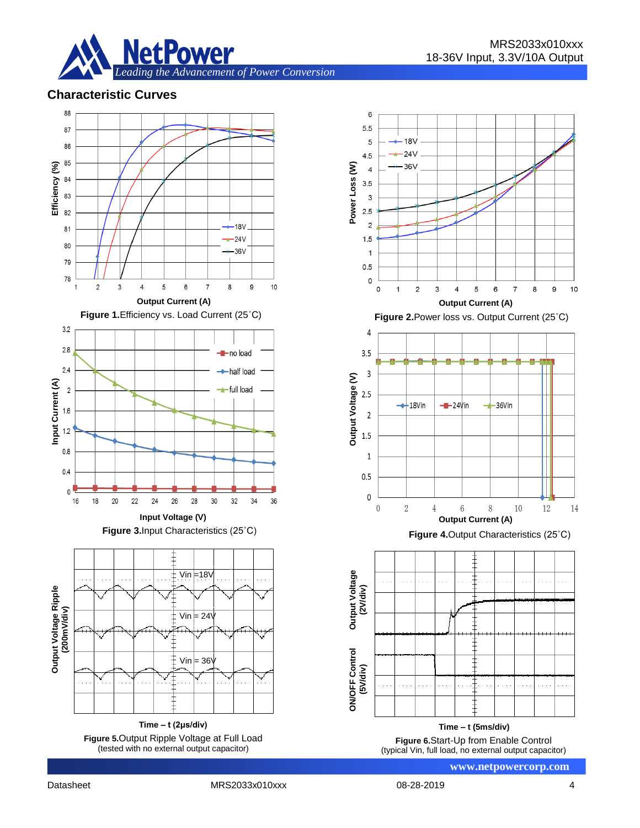

# **Characteristic Curves**



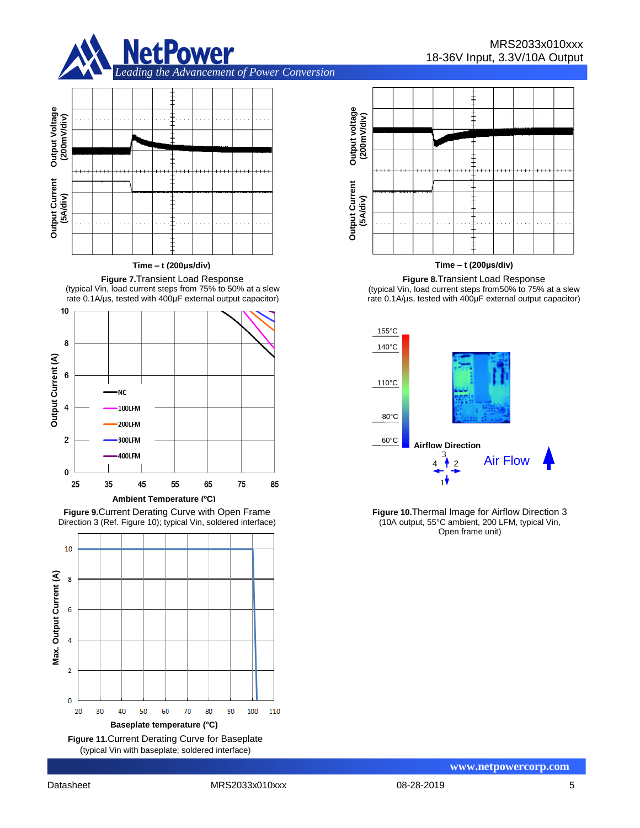

# **Output Voltage Output Voltage** (200mV/div) **(200mV/div) (5A/div)**

**Time – t (200μs/div)**

**Figure 7.**Transient Load Response (typical Vin, load current steps from 75% to 50% at a slew rate 0.1A/µs, tested with 400μF external output capacitor)



**Figure 9.**Current Derating Curve with Open Frame Direction 3 (Ref. Figure 10); typical Vin, soldered interface)



Output voltage<br>(200mV/div) **Output voltage (200mV/div) (5A/div) Output Current**

**Time – t (200μs/div)**

MRS2033x010xxx

18-36V Input, 3.3V/10A Output

**Figure 8.**Transient Load Response (typical Vin, load current steps from50% to 75% at a slew rate 0.1A/µs, tested with 400μF external output capacitor)



**Figure 10.**Thermal Image for Airflow Direction 3 (10A output, 55°C ambient, 200 LFM, typical Vin, Open frame unit)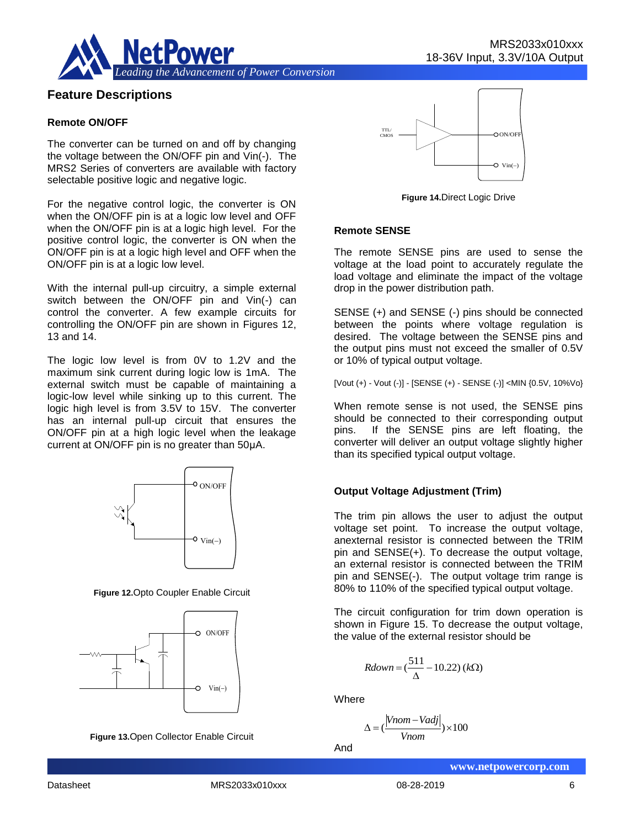

#### **Feature Descriptions**

#### **Remote ON/OFF**

The converter can be turned on and off by changing the voltage between the ON/OFF pin and Vin(-). The MRS2 Series of converters are available with factory selectable positive logic and negative logic.

For the negative control logic, the converter is ON when the ON/OFF pin is at a logic low level and OFF when the ON/OFF pin is at a logic high level. For the positive control logic, the converter is ON when the ON/OFF pin is at a logic high level and OFF when the ON/OFF pin is at a logic low level.

With the internal pull-up circuitry, a simple external switch between the ON/OFF pin and Vin(-) can control the converter. A few example circuits for controlling the ON/OFF pin are shown in Figures 12, 13 and 14.

The logic low level is from 0V to 1.2V and the maximum sink current during logic low is 1mA. The external switch must be capable of maintaining a logic-low level while sinking up to this current. The logic high level is from 3.5V to 15V. The converter has an internal pull-up circuit that ensures the ON/OFF pin at a high logic level when the leakage current at ON/OFF pin is no greater than 50μA.



**Figure 12.**Opto Coupler Enable Circuit



**Figure 13.**Open Collector Enable Circuit



**Figure 14.**Direct Logic Drive

#### **Remote SENSE**

The remote SENSE pins are used to sense the voltage at the load point to accurately regulate the load voltage and eliminate the impact of the voltage drop in the power distribution path.

SENSE (+) and SENSE (-) pins should be connected between the points where voltage regulation is desired. The voltage between the SENSE pins and the output pins must not exceed the smaller of 0.5V or 10% of typical output voltage.

[Vout (+) - Vout (-)] - [SENSE (+) - SENSE (-)] <MIN {0.5V, 10%Vo}

When remote sense is not used, the SENSE pins should be connected to their corresponding output pins. If the SENSE pins are left floating, the converter will deliver an output voltage slightly higher than its specified typical output voltage.

#### **Output Voltage Adjustment (Trim)**

The trim pin allows the user to adjust the output voltage set point. To increase the output voltage, anexternal resistor is connected between the TRIM pin and SENSE(+). To decrease the output voltage, an external resistor is connected between the TRIM pin and SENSE(-). The output voltage trim range is 80% to 110% of the specified typical output voltage.

The circuit configuration for trim down operation is shown in Figure 15. To decrease the output voltage, the value of the external resistor should be

$$
Rdown = \left(\frac{511}{\Delta} - 10.22\right)(k\Omega)
$$

**Where** 

$$
\Delta = \left(\frac{|Vnom - Vadj|}{Vnom}\right) \times 100
$$

And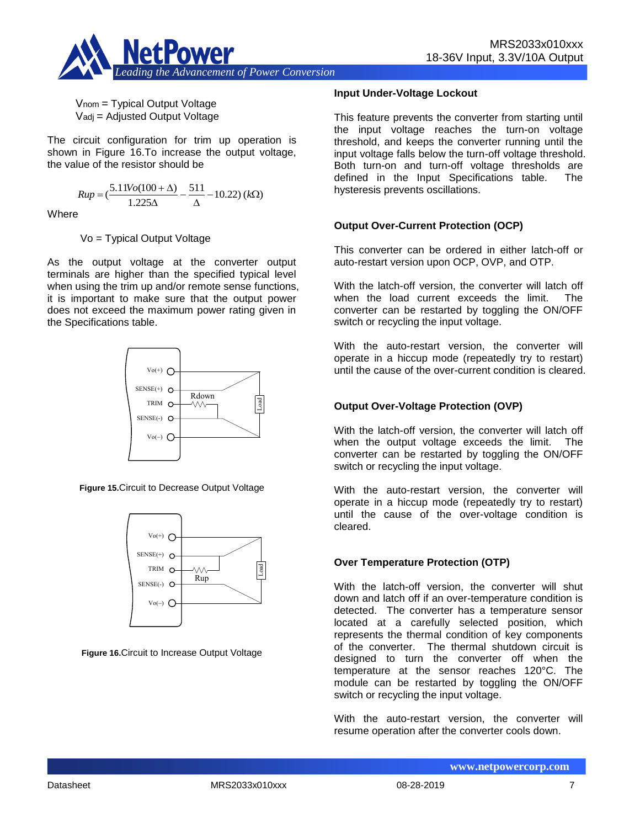

Vnom = Typical Output Voltage Vadj = Adjusted Output Voltage

The circuit configuration for trim up operation is shown in Figure 16.To increase the output voltage, the value of the resistor should be

$$
Rup = \left(\frac{5.11Vo(100 + \Delta)}{1.225\Delta} - \frac{511}{\Delta} - 10.22\right)(k\Omega)
$$

**Where** 

Vo = Typical Output Voltage

As the output voltage at the converter output terminals are higher than the specified typical level when using the trim up and/or remote sense functions, it is important to make sure that the output power does not exceed the maximum power rating given in the Specifications table.



**Figure 15.**Circuit to Decrease Output Voltage



**Figure 16.**Circuit to Increase Output Voltage

#### **Input Under-Voltage Lockout**

This feature prevents the converter from starting until the input voltage reaches the turn-on voltage threshold, and keeps the converter running until the input voltage falls below the turn-off voltage threshold. Both turn-on and turn-off voltage thresholds are defined in the Input Specifications table. The hysteresis prevents oscillations.

#### **Output Over-Current Protection (OCP)**

This converter can be ordered in either latch-off or auto-restart version upon OCP, OVP, and OTP.

With the latch-off version, the converter will latch off when the load current exceeds the limit. The converter can be restarted by toggling the ON/OFF switch or recycling the input voltage.

With the auto-restart version, the converter will operate in a hiccup mode (repeatedly try to restart) until the cause of the over-current condition is cleared.

#### **Output Over-Voltage Protection (OVP)**

With the latch-off version, the converter will latch off when the output voltage exceeds the limit. The converter can be restarted by toggling the ON/OFF switch or recycling the input voltage.

With the auto-restart version, the converter will operate in a hiccup mode (repeatedly try to restart) until the cause of the over-voltage condition is cleared.

#### **Over Temperature Protection (OTP)**

With the latch-off version, the converter will shut down and latch off if an over-temperature condition is detected. The converter has a temperature sensor located at a carefully selected position, which represents the thermal condition of key components of the converter. The thermal shutdown circuit is designed to turn the converter off when the temperature at the sensor reaches 120°C. The module can be restarted by toggling the ON/OFF switch or recycling the input voltage.

With the auto-restart version, the converter will resume operation after the converter cools down.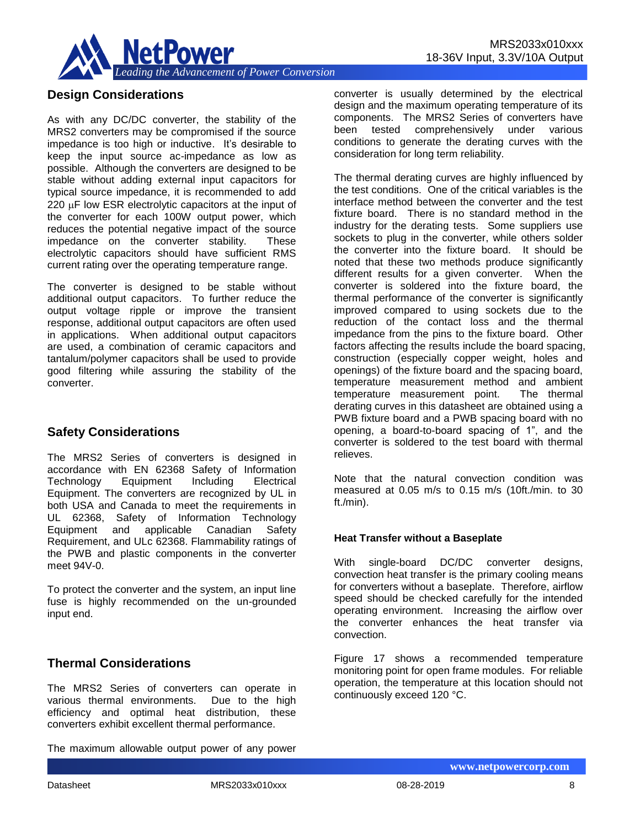

# **Design Considerations**

As with any DC/DC converter, the stability of the MRS2 converters may be compromised if the source impedance is too high or inductive. It's desirable to keep the input source ac-impedance as low as possible. Although the converters are designed to be stable without adding external input capacitors for typical source impedance, it is recommended to add 220 **uF** low ESR electrolytic capacitors at the input of the converter for each 100W output power, which reduces the potential negative impact of the source impedance on the converter stability. These electrolytic capacitors should have sufficient RMS current rating over the operating temperature range.

The converter is designed to be stable without additional output capacitors. To further reduce the output voltage ripple or improve the transient response, additional output capacitors are often used in applications. When additional output capacitors are used, a combination of ceramic capacitors and tantalum/polymer capacitors shall be used to provide good filtering while assuring the stability of the converter.

#### **Safety Considerations**

The MRS2 Series of converters is designed in accordance with EN 62368 Safety of Information Technology Equipment Including Electrical Equipment. The converters are recognized by UL in both USA and Canada to meet the requirements in UL 62368, Safety of Information Technology Equipment and applicable Canadian Safety Requirement, and ULc 62368. Flammability ratings of the PWB and plastic components in the converter meet 94V-0.

To protect the converter and the system, an input line fuse is highly recommended on the un-grounded input end.

# **Thermal Considerations**

The MRS2 Series of converters can operate in various thermal environments. Due to the high efficiency and optimal heat distribution, these converters exhibit excellent thermal performance.

The maximum allowable output power of any power

converter is usually determined by the electrical design and the maximum operating temperature of its components. The MRS2 Series of converters have been tested comprehensively under various conditions to generate the derating curves with the consideration for long term reliability.

The thermal derating curves are highly influenced by the test conditions. One of the critical variables is the interface method between the converter and the test fixture board. There is no standard method in the industry for the derating tests. Some suppliers use sockets to plug in the converter, while others solder the converter into the fixture board. It should be noted that these two methods produce significantly different results for a given converter. When the converter is soldered into the fixture board, the thermal performance of the converter is significantly improved compared to using sockets due to the reduction of the contact loss and the thermal impedance from the pins to the fixture board. Other factors affecting the results include the board spacing, construction (especially copper weight, holes and openings) of the fixture board and the spacing board, temperature measurement method and ambient temperature measurement point. The thermal derating curves in this datasheet are obtained using a PWB fixture board and a PWB spacing board with no opening, a board-to-board spacing of 1", and the converter is soldered to the test board with thermal relieves.

Note that the natural convection condition was measured at 0.05 m/s to 0.15 m/s (10ft./min. to 30 ft./min).

#### **Heat Transfer without a Baseplate**

With single-board DC/DC converter designs, convection heat transfer is the primary cooling means for converters without a baseplate. Therefore, airflow speed should be checked carefully for the intended operating environment. Increasing the airflow over the converter enhances the heat transfer via convection.

Figure 17 shows a recommended temperature monitoring point for open frame modules. For reliable operation, the temperature at this location should not continuously exceed 120 °C.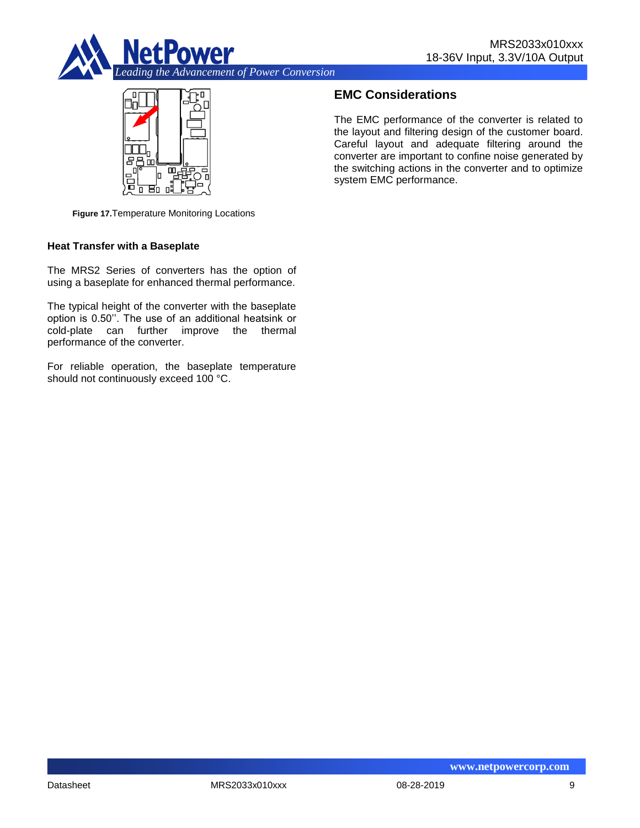



# **EMC Considerations**

The EMC performance of the converter is related to the layout and filtering design of the customer board. Careful layout and adequate filtering around the converter are important to confine noise generated by the switching actions in the converter and to optimize system EMC performance.

**Figure 17.**Temperature Monitoring Locations

#### **Heat Transfer with a Baseplate**

The MRS2 Series of converters has the option of using a baseplate for enhanced thermal performance.

The typical height of the converter with the baseplate option is 0.50''. The use of an additional heatsink or cold-plate can further improve the thermal performance of the converter.

For reliable operation, the baseplate temperature should not continuously exceed 100 °C.